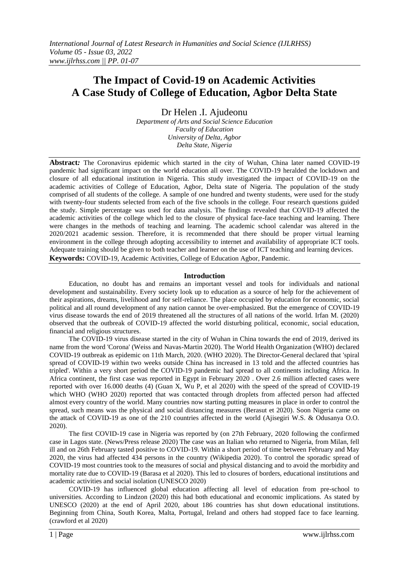# **The Impact of Covid-19 on Academic Activities A Case Study of College of Education, Agbor Delta State**

Dr Helen .I. Ajudeonu *Department of Arts and Social Science Education Faculty of Education University of Delta, Agbor Delta State, Nigeria*

**Abstract***:* The Coronavirus epidemic which started in the city of Wuhan, China later named COVID-19 pandemic had significant impact on the world education all over. The COVID-19 heralded the lockdown and closure of all educational institution in Nigeria. This study investigated the impact of COVID-19 on the academic activities of College of Education, Agbor, Delta state of Nigeria. The population of the study comprised of all students of the college. A sample of one hundred and twenty students, were used for the study with twenty-four students selected from each of the five schools in the college. Four research questions guided the study. Simple percentage was used for data analysis. The findings revealed that COVID-19 affected the academic activities of the college which led to the closure of physical face-face teaching and learning. There were changes in the methods of teaching and learning. The academic school calendar was altered in the 2020/2021 academic session. Therefore, it is recommended that there should be proper virtual learning environment in the college through adopting accessibility to internet and availability of appropriate ICT tools. Adequate training should be given to both teacher and learner on the use of ICT teaching and learning devices. **Keywords:** COVID-19, Academic Activities, College of Education Agbor, Pandemic.

**Introduction**

Education, no doubt has and remains an important vessel and tools for individuals and national development and sustainability. Every society look up to education as a source of help for the achievement of their aspirations, dreams, livelihood and for self-reliance. The place occupied by education for economic, social political and all round development of any nation cannot be over-emphasized. But the emergence of COVID-19 virus disease towards the end of 2019 threatened all the structures of all nations of the world. Irfan M. (2020) observed that the outbreak of COVID-19 affected the world disturbing political, economic, social education, financial and religious structures.

The COVID-19 virus disease started in the city of Wuhan in China towards the end of 2019, derived its name from the word 'Corona' (Weiss and Navas-Martin 2020). The World Health Organization (WHO) declared COVID-19 outbreak as epidemic on 11th March, 2020. (WHO 2020). The Director-General declared that 'spiral spread of COVID-19 within two weeks outside China has increased in 13 told and the affected countries has tripled'. Within a very short period the COVID-19 pandemic had spread to all continents including Africa. In Africa continent, the first case was reported in Egypt in February 2020 . Over 2.6 million affected cases were reported with over 16.000 deaths (4) (Guan X, Wu P, et al 2020) with the speed of the spread of COVID-19 which WHO (WHO 2020) reported that was contacted through droplets from affected person had affected almost every country of the world. Many countries now starting putting measures in place in order to control the spread, such means was the physical and social distancing measures (Berasut et 2020). Soon Nigeria came on the attack of COVID-19 as one of the 210 countries affected in the world (Ajisegiri W.S. & Odusanya O.O. 2020).

The first COVID-19 case in Nigeria was reported by (on 27th February, 2020 following the confirmed case in Lagos state. (News/Press release 2020) The case was an Italian who returned to Nigeria, from Milan, fell ill and on 26th February tasted positive to COVID-19. Within a short period of time between February and May 2020, the virus had affected 434 persons in the country (Wikipedia 2020). To control the sporadic spread of COVID-19 most countries took to the measures of social and physical distancing and to avoid the morbidity and mortality rate due to COVID-19 (Barasa et al 2020). This led to closures of borders, educational institutions and academic activities and social isolation (UNESCO 2020)

COVID-19 has influenced global education affecting all level of education from pre-school to universities. According to Lindzon (2020) this had both educational and economic implications. As stated by UNESCO (2020) at the end of April 2020, about 186 countries has shut down educational institutions. Beginning from China, South Korea, Malta, Portugal, Ireland and others had stopped face to face learning. (crawford et al 2020)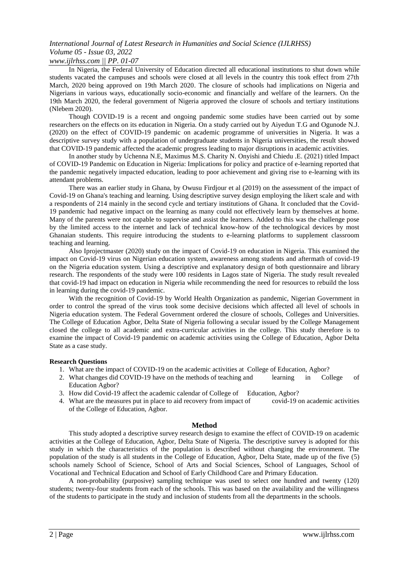## *International Journal of Latest Research in Humanities and Social Science (IJLRHSS) Volume 05 - Issue 03, 2022*

#### *www.ijlrhss.com || PP. 01-07*

In Nigeria, the Federal University of Education directed all educational institutions to shut down while students vacated the campuses and schools were closed at all levels in the country this took effect from 27th March, 2020 being approved on 19th March 2020. The closure of schools had implications on Nigeria and Nigerians in various ways, educationally socio-economic and financially and welfare of the learners. On the 19th March 2020, the federal government of Nigeria approved the closure of schools and tertiary institutions (Nlebem 2020).

Though COVID-19 is a recent and ongoing pandemic some studies have been carried out by some researchers on the effects on its education in Nigeria. On a study carried out by Aiyedun T.G and Ogunode N.J. (2020) on the effect of COVID-19 pandemic on academic programme of universities in Nigeria. It was a descriptive survey study with a population of undergraduate students in Nigeria universities, the result showed that COVID-19 pandemic affected the academic progress leading to major disruptions in academic activities.

In another study by Uchenna N.E, Maximus M.S. Charity N. Onyishi and Chiedu .E. (2021) titled Impact of COVID-19 Pandemic on Education in Nigeria: Implications for policy and practice of e-learning reported that the pandemic negatively impacted education, leading to poor achievement and giving rise to e-learning with its attendant problems.

There was an earlier study in Ghana, by Owusu Firdjour et al (2019) on the assessment of the impact of Covid-19 on Ghana's teaching and learning. Using descriptive survey design employing the likert scale and with a respondents of 214 mainly in the second cycle and tertiary institutions of Ghana. It concluded that the Covid-19 pandemic had negative impact on the learning as many could not effectively learn by themselves at home. Many of the parents were not capable to supervise and assist the learners. Added to this was the challenge pose by the limited access to the internet and lack of technical know-how of the technological devices by most Ghanaian students. This require introducing the students to e-learning platforms to supplement classroom teaching and learning.

Also Iprojectmaster (2020) study on the impact of Covid-19 on education in Nigeria. This examined the impact on Covid-19 virus on Nigerian education system, awareness among students and aftermath of covid-19 on the Nigeria education system. Using a descriptive and explanatory design of both questionnaire and library research. The respondents of the study were 100 residents in Lagos state of Nigeria. The study result revealed that covid-19 had impact on education in Nigeria while recommending the need for resources to rebuild the loss in learning during the covid-19 pandemic.

With the recognition of Covid-19 by World Health Organization as pandemic, Nigerian Government in order to control the spread of the virus took some decisive decisions which affected all level of schools in Nigeria education system. The Federal Government ordered the closure of schools, Colleges and Universities. The College of Education Agbor, Delta State of Nigeria following a secular issued by the College Management closed the college to all academic and extra-curricular activities in the college. This study therefore is to examine the impact of Covid-19 pandemic on academic activities using the College of Education, Agbor Delta State as a case study.

#### **Research Questions**

- 1. What are the impact of COVID-19 on the academic activities at College of Education, Agbor?
- 2. What changes did COVID-19 have on the methods of teaching and learning in College of Education Agbor?
- 3. How did Covid-19 affect the academic calendar of College of Education, Agbor?
- 4. What are the measures put in place to aid recovery from impact of covid-19 on academic activities of the College of Education, Agbor.

#### **Method**

This study adopted a descriptive survey research design to examine the effect of COVID-19 on academic activities at the College of Education, Agbor, Delta State of Nigeria. The descriptive survey is adopted for this study in which the characteristics of the population is described without changing the environment. The population of the study is all students in the College of Education, Agbor, Delta State, made up of the five (5) schools namely School of Science, School of Arts and Social Sciences, School of Languages, School of Vocational and Technical Education and School of Early Childhood Care and Primary Education.

A non-probability (purposive) sampling technique was used to select one hundred and twenty (120) students; twenty-four students from each of the schools. This was based on the availability and the willingness of the students to participate in the study and inclusion of students from all the departments in the schools.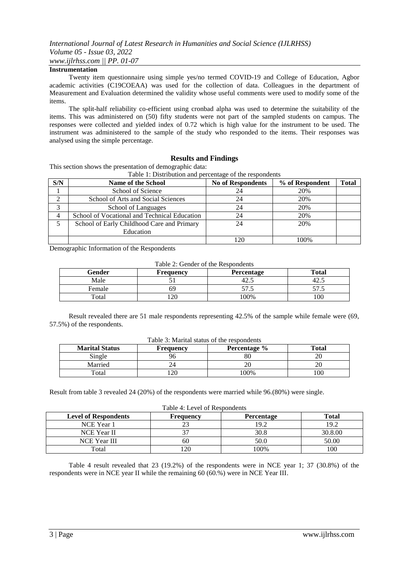#### **Instrumentation**

Twenty item questionnaire using simple yes/no termed COVID-19 and College of Education, Agbor academic activities (C19COEAA) was used for the collection of data. Colleagues in the department of Measurement and Evaluation determined the validity whose useful comments were used to modify some of the items.

The split-half reliability co-efficient using cronbad alpha was used to determine the suitability of the items. This was administered on (50) fifty students were not part of the sampled students on campus. The responses were collected and yielded index of 0.72 which is high value for the instrument to be used. The instrument was administered to the sample of the study who responded to the items. Their responses was analysed using the simple percentage.

#### **Results and Findings**

This section shows the presentation of demographic data:

Table 1: Distribution and percentage of the respondents

| S/N | <b>Name of the School</b>                    | <b>No of Respondents</b> | % of Respondent | <b>Total</b> |
|-----|----------------------------------------------|--------------------------|-----------------|--------------|
|     | School of Science                            | 24                       | 20%             |              |
|     | School of Arts and Social Sciences           | 24                       | 20%             |              |
|     | School of Languages                          | 24                       | 20%             |              |
| 4   | School of Vocational and Technical Education | 24                       | 20%             |              |
|     | School of Early Childhood Care and Primary   |                          | 20%             |              |
|     | Education                                    |                          |                 |              |
|     |                                              | 20                       | $00\%$          |              |

Demographic Information of the Respondents

Table 2: Gender of the Respondents

| Gender | <b>Frequency</b> | <b>Percentage</b> | Total |
|--------|------------------|-------------------|-------|
| Male   |                  | 42.3              | 42.J  |
| Female | იሃ               | ر… ا<br>◡         | ن ر   |
| Total  |                  | $00\%$            | 100   |

Result revealed there are 51 male respondents representing 42.5% of the sample while female were (69, 57.5%) of the respondents.

| Table 3: Marital status of the respondents |  |  |  |
|--------------------------------------------|--|--|--|
|--------------------------------------------|--|--|--|

| <b>Marital Status</b><br>Percentage %<br><b>Frequency</b> |    | Total |     |
|-----------------------------------------------------------|----|-------|-----|
| Single                                                    |    | 80    | ∠∪  |
| Married                                                   |    |       | ∠∪  |
| Total                                                     | 20 | .00%  | 100 |

Result from table 3 revealed 24 (20%) of the respondents were married while 96.(80%) were single.

Table 4: Level of Respondents

| <b>Level of Respondents</b> | <b>Frequency</b> | <b>Percentage</b> | <b>Total</b> |
|-----------------------------|------------------|-------------------|--------------|
| NCE Year 1                  |                  | 19.2              | 19.2         |
| NCE Year II                 |                  | 30.8              | 30.8.00      |
| <b>NCE Year III</b>         | 60               | 50.0              | 50.00        |
| Total                       | 20               | $00\%$            | 100          |

Table 4 result revealed that 23 (19.2%) of the respondents were in NCE year 1; 37 (30.8%) of the respondents were in NCE year II while the remaining 60 (60.%) were in NCE Year III.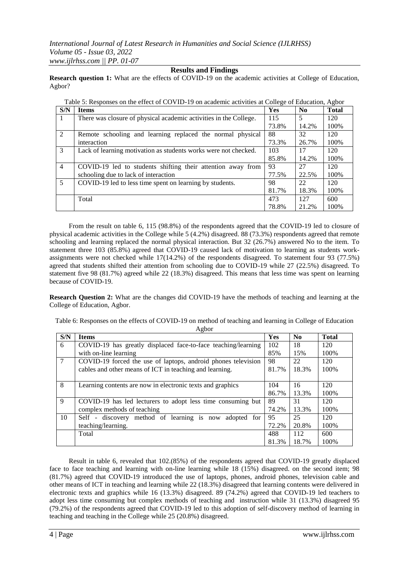#### **Results and Findings**

**Research question 1:** What are the effects of COVID-19 on the academic activities at College of Education, Agbor?

| Table 5: Responses on the effect of COVID-19 on academic activities at College of Education, Agbor |                                                                   |       |          |              |  |
|----------------------------------------------------------------------------------------------------|-------------------------------------------------------------------|-------|----------|--------------|--|
| S/N                                                                                                | <b>Items</b>                                                      | Yes   | $\bf No$ | <b>Total</b> |  |
| $\vert$ 1                                                                                          | There was closure of physical academic activities in the College. | 115   | 5        | 120          |  |
|                                                                                                    |                                                                   | 73.8% | 14.2%    | 100%         |  |
| 2                                                                                                  | Remote schooling and learning replaced the normal physical        | 88    | 32       | 120          |  |
|                                                                                                    | interaction                                                       | 73.3% | 26.7%    | 100%         |  |
| 3                                                                                                  | Lack of learning motivation as students works were not checked.   | 103   | 17       | 120          |  |
|                                                                                                    |                                                                   | 85.8% | 14.2%    | 100%         |  |
| $\overline{4}$                                                                                     | COVID-19 led to students shifting their attention away from       | 93    | 27       | 120          |  |
|                                                                                                    | schooling due to lack of interaction                              | 77.5% | 22.5%    | 100%         |  |
| $5\overline{5}$                                                                                    | COVID-19 led to less time spent on learning by students.          | 98    | 22       | 120          |  |
|                                                                                                    |                                                                   | 81.7% | 18.3%    | 100\%        |  |
|                                                                                                    | Total                                                             | 473   | 127      | 600          |  |
|                                                                                                    |                                                                   | 78.8% | 21.2%    | 100%         |  |

From the result on table 6, 115 (98.8%) of the respondents agreed that the COVID-19 led to closure of physical academic activities in the College while 5 (4.2%) disagreed. 88 (73.3%) respondents agreed that remote schooling and learning replaced the normal physical interaction. But 32 (26.7%) answered No to the item. To statement three 103 (85.8%) agreed that COVID-19 caused lack of motivation to learning as students workassignments were not checked while 17(14.2%) of the respondents disagreed. To statement four 93 (77.5%) agreed that students shifted their attention from schooling due to COVID-19 while 27 (22.5%) disagreed. To statement five 98 (81.7%) agreed while 22 (18.3%) disagreed. This means that less time was spent on learning

**Research Question 2:** What are the changes did COVID-19 have the methods of teaching and learning at the College of Education, Agbor.

Table 6: Responses on the effects of COVID-19 on method of teaching and learning in College of Education

|     | Agbor                                                         |       |       |              |  |  |  |
|-----|---------------------------------------------------------------|-------|-------|--------------|--|--|--|
| S/N | <b>Items</b>                                                  | Yes   | No    | <b>Total</b> |  |  |  |
| 6   | COVID-19 has greatly displaced face-to-face teaching/learning | 102   | 18    | 120          |  |  |  |
|     | with on-line learning                                         | 85%   | 15%   | 100%         |  |  |  |
| 7   | COVID-19 forced the use of laptops, android phones television | 98    | 22    | 120          |  |  |  |
|     | cables and other means of ICT in teaching and learning.       | 81.7% | 18.3% | 100%         |  |  |  |
|     |                                                               |       |       |              |  |  |  |
| 8   | Learning contents are now in electronic texts and graphics    |       | 16    | 120          |  |  |  |
|     |                                                               | 86.7% | 13.3% | 100%         |  |  |  |
| 9   | COVID-19 has led lecturers to adopt less time consuming but   | 89    | 31    | 120          |  |  |  |
|     | complex methods of teaching                                   | 74.2% | 13.3% | 100%         |  |  |  |
| 10  | Self - discovery method of learning is now adopted for        | 95    | 25    | 120          |  |  |  |
|     | teaching/learning.                                            | 72.2% | 20.8% | 100%         |  |  |  |
|     | Total                                                         | 488   | 112   | 600          |  |  |  |
|     |                                                               | 81.3% | 18.7% | 100%         |  |  |  |

Result in table 6, revealed that 102.(85%) of the respondents agreed that COVID-19 greatly displaced face to face teaching and learning with on-line learning while 18 (15%) disagreed. on the second item; 98 (81.7%) agreed that COVID-19 introduced the use of laptops, phones, android phones, television cable and other means of ICT in teaching and learning while 22 (18.3%) disagreed that learning contents were delivered in electronic texts and graphics while 16 (13.3%) disagreed. 89 (74.2%) agreed that COVID-19 led teachers to adopt less time consuming but complex methods of teaching and instruction while 31 (13.3%) disagreed 95 (79.2%) of the respondents agreed that COVID-19 led to this adoption of self-discovery method of learning in teaching and teaching in the College while 25 (20.8%) disagreed.

because of COVID-19.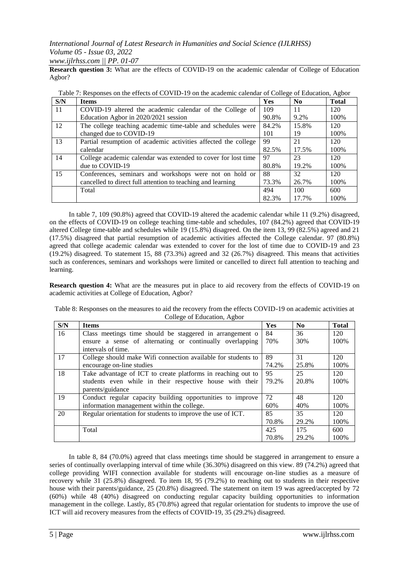### *International Journal of Latest Research in Humanities and Social Science (IJLRHSS) Volume 05 - Issue 03, 2022 www.ijlrhss.com || PP. 01-07*

**Research question 3:** What are the effects of COVID-19 on the academic calendar of College of Education Agbor?

| S/N | <b>Items</b>                                                   | <b>Yes</b> | N <sub>0</sub> | <b>Total</b> |
|-----|----------------------------------------------------------------|------------|----------------|--------------|
| -11 | COVID-19 altered the academic calendar of the College of       | 109        | 11             | 120          |
|     | Education Agbor in 2020/2021 session                           | 90.8%      | 9.2%           | 100%         |
| 12  | The college teaching academic time-table and schedules were    | 84.2%      | 15.8%          | 120          |
|     | changed due to COVID-19                                        | 101        | 19             | 100%         |
| 13  | Partial resumption of academic activities affected the college | 99         | 21             | 120          |
|     | calendar                                                       | 82.5%      | 17.5%          | 100%         |
| 14  | College academic calendar was extended to cover for lost time  | 97         | 23             | 120          |
|     | due to COVID-19                                                | 80.8%      | 19.2%          | 100%         |
| 15  | Conferences, seminars and workshops were not on hold or        | 88         | 32             | 120          |
|     | cancelled to direct full attention to teaching and learning    | 73.3%      | 26.7%          | 100%         |
|     | Total                                                          | 494        | 100            | 600          |
|     |                                                                | 82.3%      | 17.7%          | 100%         |

|  |  | Table 7: Responses on the effects of COVID-19 on the academic calendar of College of Education, Agbor |
|--|--|-------------------------------------------------------------------------------------------------------|
|  |  |                                                                                                       |

In table 7, 109 (90.8%) agreed that COVID-19 altered the academic calendar while 11 (9.2%) disagreed, on the effects of COVID-19 on college teaching time-table and schedules, 107 (84.2%) agreed that COVID-19 altered College time-table and schedules while 19 (15.8%) disagreed. On the item 13, 99 (82.5%) agreed and 21 (17.5%) disagreed that partial resumption of academic activities affected the College calendar. 97 (80.8%) agreed that college academic calendar was extended to cover for the lost of time due to COVID-19 and 23 (19.2%) disagreed. To statement 15, 88 (73.3%) agreed and 32 (26.7%) disagreed. This means that activities such as conferences, seminars and workshops were limited or cancelled to direct full attention to teaching and learning.

**Research question 4:** What are the measures put in place to aid recovery from the effects of COVID-19 on academic activities at College of Education, Agbor?

| S/N | <b>Items</b>                                                  | <b>Yes</b> | No    | <b>Total</b> |
|-----|---------------------------------------------------------------|------------|-------|--------------|
| 16  | Class meetings time should be staggered in arrangement of     | 84         | 36    | 120          |
|     | ensure a sense of alternating or continually overlapping      | 70%        | 30%   | 100%         |
|     | intervals of time.                                            |            |       |              |
| 17  | College should make Wifi connection available for students to | 89         | 31    | 120          |
|     | encourage on-line studies                                     | 74.2%      | 25.8% | 100%         |
| 18  | Take advantage of ICT to create platforms in reaching out to  | 95         | 25    | 120          |
|     | students even while in their respective house with their      | 79.2%      | 20.8% | 100%         |
|     | parents/guidance                                              |            |       |              |
| 19  | Conduct regular capacity building opportunities to improve    | 72         | 48    | 120          |
|     | information management within the college.                    | 60%        | 40%   | 100%         |
| 20  | Regular orientation for students to improve the use of ICT.   | 85         | 35    | 120          |
|     |                                                               | 70.8%      | 29.2% | 100%         |
|     | Total                                                         | 425        | 175   | 600          |
|     |                                                               | 70.8%      | 29.2% | 100%         |

Table 8: Responses on the measures to aid the recovery from the effects COVID-19 on academic activities at College of Education, Agbor

In table 8, 84 (70.0%) agreed that class meetings time should be staggered in arrangement to ensure a series of continually overlapping interval of time while (36.30%) disagreed on this view. 89 (74.2%) agreed that college providing WIFI connection available for students will encourage on-line studies as a measure of recovery while 31 (25.8%) disagreed. To item 18, 95 (79.2%) to reaching out to students in their respective house with their parents/guidance, 25 (20.8%) disagreed. The statement on item 19 was agreed/accepted by 72 (60%) while 48 (40%) disagreed on conducting regular capacity building opportunities to information management in the college. Lastly, 85 (70.8%) agreed that regular orientation for students to improve the use of ICT will aid recovery measures from the effects of COVID-19, 35 (29.2%) disagreed.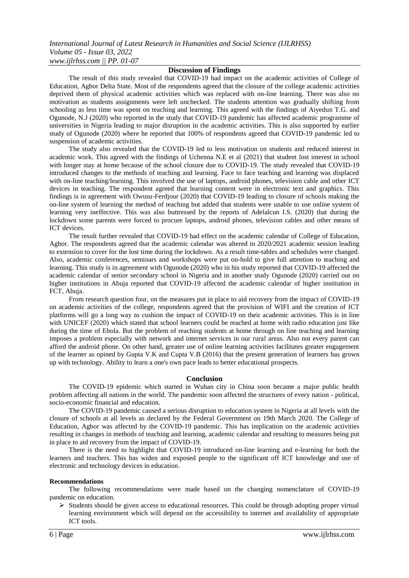#### **Discussion of Findings**

The result of this study revealed that COVID-19 had impact on the academic activities of College of Education, Agbor Delta State. Most of the respondents agreed that the closure of the college academic activities deprived them of physical academic activities which was replaced with on-line learning. There was also no motivation as students assignments were left unchecked. The students attention was gradually shifting from schooling as less time was spent on teaching and learning. This agreed with the findings of Aiyedun T.G. and Ogunode, N.J (2020) who reported in the study that COVID-19 pandemic has affected academic programme of universities in Nigeria leading to major disruption in the academic activities. This is also supported by earlier study of Ogunode (2020) where he reported that 100% of respondents agreed that COVID-19 pandemic led to suspension of academic activities.

The study also revealed that the COVID-19 led to less motivation on students and reduced interest in academic work. This agreed with the findings of Uchenna N.E et al (2021) that student lost interest in school with longer stay at home because of the school closure due to COVID-19. The study revealed that COVID-19 introduced changes to the methods of teaching and learning. Face to face teaching and learning was displaced with on-line teaching/learning. This involved the use of laptops, android phones, television cable and other ICT devices in teaching. The respondent agreed that learning content were in electronic text and graphics. This findings is in agreement with Owusu-Ferdjour (2020) that COVID-19 leading to closure of schools making the on-line system of learning the method of teaching but added that students were unable to use online system of learning very ineffective. This was also buttressed by the reports of Adelalcun I.S. (2020) that during the lockdown some parents were forced to procure laptops, android phones, television cables and other means of ICT devices.

The result further revealed that COVID-19 had effect on the academic calendar of College of Education, Agbor. The respondents agreed that the academic calendar was altered in 2020/2021 academic session leading to extension to cover for the lost time during the lockdown. As a result time-tables and schedules were changed. Also, academic conferences, seminars and workshops were put on-hold to give full attention to teaching and learning. This study is in agreement with Ogunode (2020) who in his study reported that COVID-19 affected the academic calendar of senior secondary school in Nigeria and in another study Ogunode (2020) carried out on higher institutions in Abuja reported that COVID-19 affected the academic calendar of higher institution in FCT, Abuja.

From research question four, on the measures put in place to aid recovery from the impact of COVID-19 on academic activities of the college, respondents agreed that the provision of WIFI and the creation of ICT platforms will go a long way to cushion the impact of COVID-19 on their academic activities. This is in line with UNICEF (2020) which stated that school learners could be reached at home with radio education just like during the time of Ebola. But the problem of reaching students at home through on line teaching and learning imposes a problem especially with network and internet services in our rural areas. Also not every parent can afford the android phone. On other hand, greater use of online learning activities facilitates greater engagement of the learner as opined by Gupta V.K and Cupta V.B (2016) that the present generation of learners has grown up with technology. Ability to learn a one's own pace leads to better educational prospects.

#### **Conclusion**

The COVID-19 epidemic which started in Wuhan city in China soon became a major public health problem affecting all nations in the world. The pandemic soon affected the structures of every nation - political, socio-economic financial and education.

The COVID-19 pandemic caused a serious disruption to education system in Nigeria at all levels with the closure of schools at all levels as declared by the Federal Government on 19th March 2020. The College of Education, Agbor was affected by the COVID-19 pandemic. This has implication on the academic activities resulting in changes in methods of teaching and learning, academic calendar and resulting to measures being put in place to aid recovery from the impact of COVID-19.

There is the need to highlight that COVID-19 introduced on-line learning and e-learning for both the learners and teachers. This has widen and exposed people to the significant off ICT knowledge and use of electronic and technology devices in education.

#### **Recommendations**

The following recommendations were made based on the changing nomenclature of COVID-19 pandemic on education.

 $\triangleright$  Students should be given access to educational resources. This could be through adopting proper virtual learning environment which will depend on the accessibility to internet and availability of appropriate ICT tools.